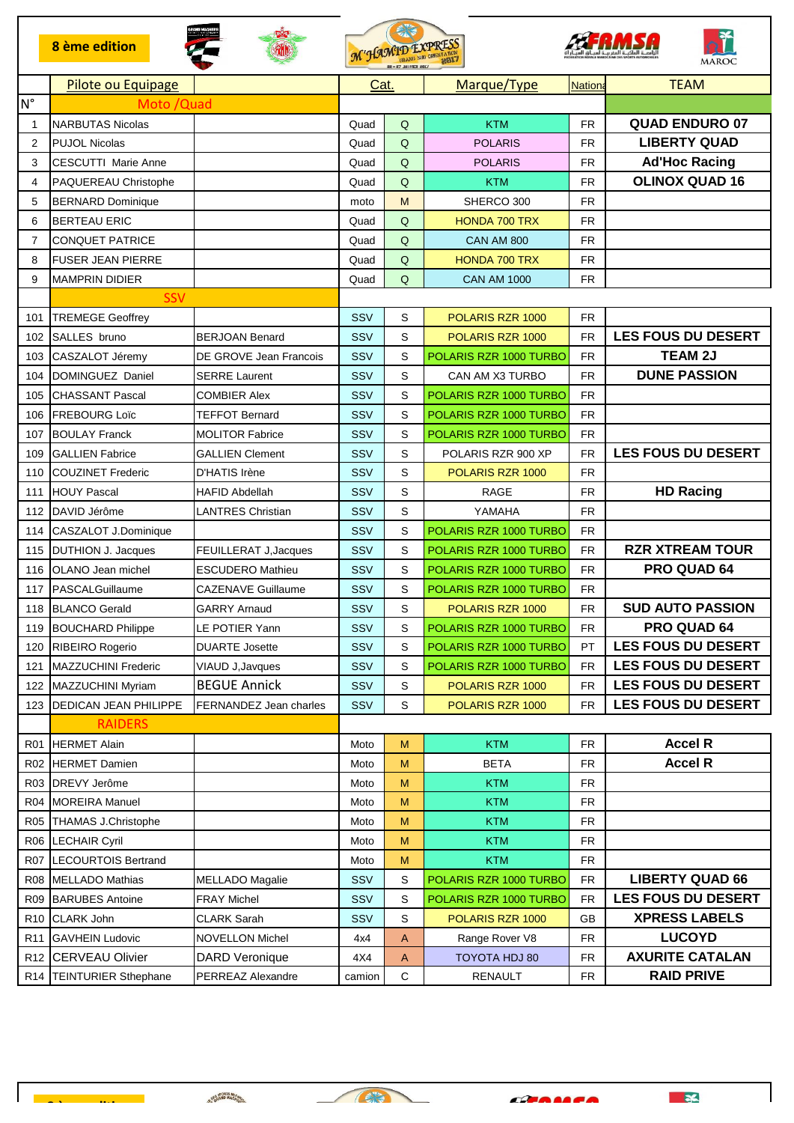|                 | <b>8</b> ème edition        |                           |            | $\begin{picture}(220,20) \put(0,0){\vector(1,0){30}} \put(15,0){\vector(1,0){30}} \put(15,0){\vector(1,0){30}} \put(15,0){\vector(1,0){30}} \put(15,0){\vector(1,0){30}} \put(15,0){\vector(1,0){30}} \put(15,0){\vector(1,0){30}} \put(15,0){\vector(1,0){30}} \put(15,0){\vector(1,0){30}} \put(15,0){\vector(1,0){30}} \put(15,0){\vector(1,0){30}} \put(15,0){\vector($<br>M'HAMID EXPRESS |                        | <b>MAROC</b>  |                           |  |
|-----------------|-----------------------------|---------------------------|------------|------------------------------------------------------------------------------------------------------------------------------------------------------------------------------------------------------------------------------------------------------------------------------------------------------------------------------------------------------------------------------------------------|------------------------|---------------|---------------------------|--|
|                 | Pilote ou Equipage          |                           | Cat.       |                                                                                                                                                                                                                                                                                                                                                                                                | Marque/Type            | <b>Nation</b> | <b>TEAM</b>               |  |
| $N^{\circ}$     | Moto / Quad                 |                           |            |                                                                                                                                                                                                                                                                                                                                                                                                |                        |               |                           |  |
| 1               | <b>NARBUTAS Nicolas</b>     |                           | Quad       | Q                                                                                                                                                                                                                                                                                                                                                                                              | <b>KTM</b>             | <b>FR</b>     | <b>QUAD ENDURO 07</b>     |  |
| 2               | <b>PUJOL Nicolas</b>        |                           | Quad       | Q                                                                                                                                                                                                                                                                                                                                                                                              | <b>POLARIS</b>         | FR            | <b>LIBERTY QUAD</b>       |  |
| 3               | <b>CESCUTTI Marie Anne</b>  |                           | Quad       | Q                                                                                                                                                                                                                                                                                                                                                                                              | <b>POLARIS</b>         | <b>FR</b>     | <b>Ad'Hoc Racing</b>      |  |
| 4               | PAQUEREAU Christophe        |                           | Quad       | $\mathsf Q$                                                                                                                                                                                                                                                                                                                                                                                    | <b>KTM</b>             | <b>FR</b>     | <b>OLINOX QUAD 16</b>     |  |
| 5               | <b>BERNARD Dominique</b>    |                           | moto       | M                                                                                                                                                                                                                                                                                                                                                                                              | SHERCO 300             | <b>FR</b>     |                           |  |
| 6               | <b>BERTEAU ERIC</b>         |                           | Quad       | Q                                                                                                                                                                                                                                                                                                                                                                                              | <b>HONDA 700 TRX</b>   | <b>FR</b>     |                           |  |
| $\overline{7}$  | <b>CONQUET PATRICE</b>      |                           | Quad       | $\mathsf Q$                                                                                                                                                                                                                                                                                                                                                                                    | <b>CAN AM 800</b>      | <b>FR</b>     |                           |  |
| 8               | <b>FUSER JEAN PIERRE</b>    |                           | Quad       | Q                                                                                                                                                                                                                                                                                                                                                                                              | <b>HONDA 700 TRX</b>   | <b>FR</b>     |                           |  |
| 9               | <b>MAMPRIN DIDIER</b>       |                           | Quad       | Q                                                                                                                                                                                                                                                                                                                                                                                              | <b>CAN AM 1000</b>     | <b>FR</b>     |                           |  |
|                 | <b>SSV</b>                  |                           |            |                                                                                                                                                                                                                                                                                                                                                                                                |                        |               |                           |  |
| 101             | <b>TREMEGE Geoffrey</b>     |                           | SSV        | S                                                                                                                                                                                                                                                                                                                                                                                              | POLARIS RZR 1000       | <b>FR</b>     |                           |  |
| 102             | SALLES bruno                | <b>BERJOAN Benard</b>     | SSV        | S                                                                                                                                                                                                                                                                                                                                                                                              | POLARIS RZR 1000       | <b>FR</b>     | <b>LES FOUS DU DESERT</b> |  |
| 103             | CASZALOT Jéremy             | DE GROVE Jean Francois    | <b>SSV</b> | S                                                                                                                                                                                                                                                                                                                                                                                              | POLARIS RZR 1000 TURBO | <b>FR</b>     | <b>TEAM 2J</b>            |  |
| 104             | DOMINGUEZ Daniel            | <b>SERRE Laurent</b>      | SSV        | S                                                                                                                                                                                                                                                                                                                                                                                              | CAN AM X3 TURBO        | <b>FR</b>     | <b>DUNE PASSION</b>       |  |
| 105             | <b>CHASSANT Pascal</b>      | <b>COMBIER Alex</b>       | <b>SSV</b> | S                                                                                                                                                                                                                                                                                                                                                                                              | POLARIS RZR 1000 TURBO | <b>FR</b>     |                           |  |
| 106             | <b>FREBOURG Loïc</b>        | <b>TEFFOT Bernard</b>     | SSV        | S                                                                                                                                                                                                                                                                                                                                                                                              | POLARIS RZR 1000 TURBO | <b>FR</b>     |                           |  |
| 107             | <b>BOULAY Franck</b>        | <b>MOLITOR Fabrice</b>    | <b>SSV</b> | S                                                                                                                                                                                                                                                                                                                                                                                              | POLARIS RZR 1000 TURBO | <b>FR</b>     |                           |  |
| 109             | <b>GALLIEN Fabrice</b>      | <b>GALLIEN Clement</b>    | SSV        | S                                                                                                                                                                                                                                                                                                                                                                                              | POLARIS RZR 900 XP     | <b>FR</b>     | <b>LES FOUS DU DESERT</b> |  |
| 110             | <b>COUZINET Frederic</b>    | D'HATIS Irène             | SSV        | S                                                                                                                                                                                                                                                                                                                                                                                              | POLARIS RZR 1000       | <b>FR</b>     |                           |  |
| 111             | <b>HOUY Pascal</b>          | <b>HAFID Abdellah</b>     | <b>SSV</b> | S                                                                                                                                                                                                                                                                                                                                                                                              | <b>RAGE</b>            | <b>FR</b>     | <b>HD Racing</b>          |  |
| 112             | DAVID Jérôme                | <b>LANTRES Christian</b>  | SSV        | S                                                                                                                                                                                                                                                                                                                                                                                              | YAMAHA                 | <b>FR</b>     |                           |  |
| 114             | CASZALOT J.Dominique        |                           | SSV        | S                                                                                                                                                                                                                                                                                                                                                                                              | POLARIS RZR 1000 TURBO | <b>FR</b>     |                           |  |
| 115             | <b>DUTHION J. Jacques</b>   | FEUILLERAT J, Jacques     | SSV        | S                                                                                                                                                                                                                                                                                                                                                                                              | POLARIS RZR 1000 TURBO | <b>FR</b>     | <b>RZR XTREAM TOUR</b>    |  |
| 116             | OLANO Jean michel           | <b>ESCUDERO Mathieu</b>   | SSV        | S                                                                                                                                                                                                                                                                                                                                                                                              | POLARIS RZR 1000 TURBO | <b>FR</b>     | PRO QUAD 64               |  |
| 117             | PASCALGuillaume             | <b>CAZENAVE Guillaume</b> | SSV        | S                                                                                                                                                                                                                                                                                                                                                                                              | POLARIS RZR 1000 TURBO | <b>FR</b>     |                           |  |
| 118             | <b>BLANCO Gerald</b>        | <b>GARRY Arnaud</b>       | <b>SSV</b> | S                                                                                                                                                                                                                                                                                                                                                                                              | POLARIS RZR 1000       | <b>FR</b>     | <b>SUD AUTO PASSION</b>   |  |
| 119             | <b>BOUCHARD Philippe</b>    | LE POTIER Yann            | SSV        | S                                                                                                                                                                                                                                                                                                                                                                                              | POLARIS RZR 1000 TURBO | FR            | PRO QUAD 64               |  |
| 120             | RIBEIRO Rogerio             | <b>DUARTE Josette</b>     | SSV        | S                                                                                                                                                                                                                                                                                                                                                                                              | POLARIS RZR 1000 TURBO | PT            | <b>LES FOUS DU DESERT</b> |  |
| 121             | <b>MAZZUCHINI Frederic</b>  | VIAUD J, Javques          | SSV        | S                                                                                                                                                                                                                                                                                                                                                                                              | POLARIS RZR 1000 TURBO | <b>FR</b>     | <b>LES FOUS DU DESERT</b> |  |
| 122             | MAZZUCHINI Myriam           | <b>BEGUE Annick</b>       | SSV        | S                                                                                                                                                                                                                                                                                                                                                                                              | POLARIS RZR 1000       | <b>FR</b>     | <b>LES FOUS DU DESERT</b> |  |
| 123             | DEDICAN JEAN PHILIPPE       | FERNANDEZ Jean charles    | SSV        | S                                                                                                                                                                                                                                                                                                                                                                                              | POLARIS RZR 1000       | <b>FR</b>     | <b>LES FOUS DU DESERT</b> |  |
|                 | <b>RAIDERS</b>              |                           |            |                                                                                                                                                                                                                                                                                                                                                                                                |                        |               |                           |  |
| R <sub>01</sub> | <b>HERMET Alain</b>         |                           | Moto       | M                                                                                                                                                                                                                                                                                                                                                                                              | <b>KTM</b>             | <b>FR</b>     | <b>Accel R</b>            |  |
| <b>R02</b>      | <b>HERMET Damien</b>        |                           | Moto       | М                                                                                                                                                                                                                                                                                                                                                                                              | <b>BETA</b>            | FR.           | <b>Accel R</b>            |  |
| R <sub>03</sub> | <b>DREVY Jerôme</b>         |                           | Moto       | М                                                                                                                                                                                                                                                                                                                                                                                              | <b>KTM</b>             | <b>FR</b>     |                           |  |
| <b>R04</b>      | <b>MOREIRA Manuel</b>       |                           | Moto       | М                                                                                                                                                                                                                                                                                                                                                                                              | KTM                    | <b>FR</b>     |                           |  |
| <b>R05</b>      | <b>THAMAS J.Christophe</b>  |                           | Moto       | M                                                                                                                                                                                                                                                                                                                                                                                              | <b>KTM</b>             | FR            |                           |  |
| <b>R06</b>      | <b>LECHAIR Cyril</b>        |                           | Moto       | M                                                                                                                                                                                                                                                                                                                                                                                              | <b>KTM</b>             | <b>FR</b>     |                           |  |
| <b>R07</b>      | <b>LECOURTOIS Bertrand</b>  |                           | Moto       | M                                                                                                                                                                                                                                                                                                                                                                                              | <b>KTM</b>             | <b>FR</b>     |                           |  |
| <b>R08</b>      | MELLADO Mathias             | <b>MELLADO Magalie</b>    | SSV        | S                                                                                                                                                                                                                                                                                                                                                                                              | POLARIS RZR 1000 TURBO | <b>FR</b>     | <b>LIBERTY QUAD 66</b>    |  |
| <b>R09</b>      | <b>BARUBES Antoine</b>      | <b>FRAY Michel</b>        | SSV        | S                                                                                                                                                                                                                                                                                                                                                                                              | POLARIS RZR 1000 TURBO | <b>FR</b>     | <b>LES FOUS DU DESERT</b> |  |
| R <sub>10</sub> | <b>CLARK John</b>           | <b>CLARK Sarah</b>        | <b>SSV</b> | S                                                                                                                                                                                                                                                                                                                                                                                              | POLARIS RZR 1000       | GB            | <b>XPRESS LABELS</b>      |  |
| R <sub>11</sub> | <b>GAVHEIN Ludovic</b>      | <b>NOVELLON Michel</b>    | 4x4        | A                                                                                                                                                                                                                                                                                                                                                                                              | Range Rover V8         | <b>FR</b>     | <b>LUCOYD</b>             |  |
| R <sub>12</sub> | <b>CERVEAU Olivier</b>      | <b>DARD Veronique</b>     | 4X4        | A                                                                                                                                                                                                                                                                                                                                                                                              | TOYOTA HDJ 80          | <b>FR</b>     | <b>AXURITE CATALAN</b>    |  |
| R14             | <b>TEINTURIER Sthephane</b> | PERREAZ Alexandre         | camion     | С                                                                                                                                                                                                                                                                                                                                                                                              | RENAULT                | <b>FR</b>     | <b>RAID PRIVE</b>         |  |

 $\epsilon$ 

X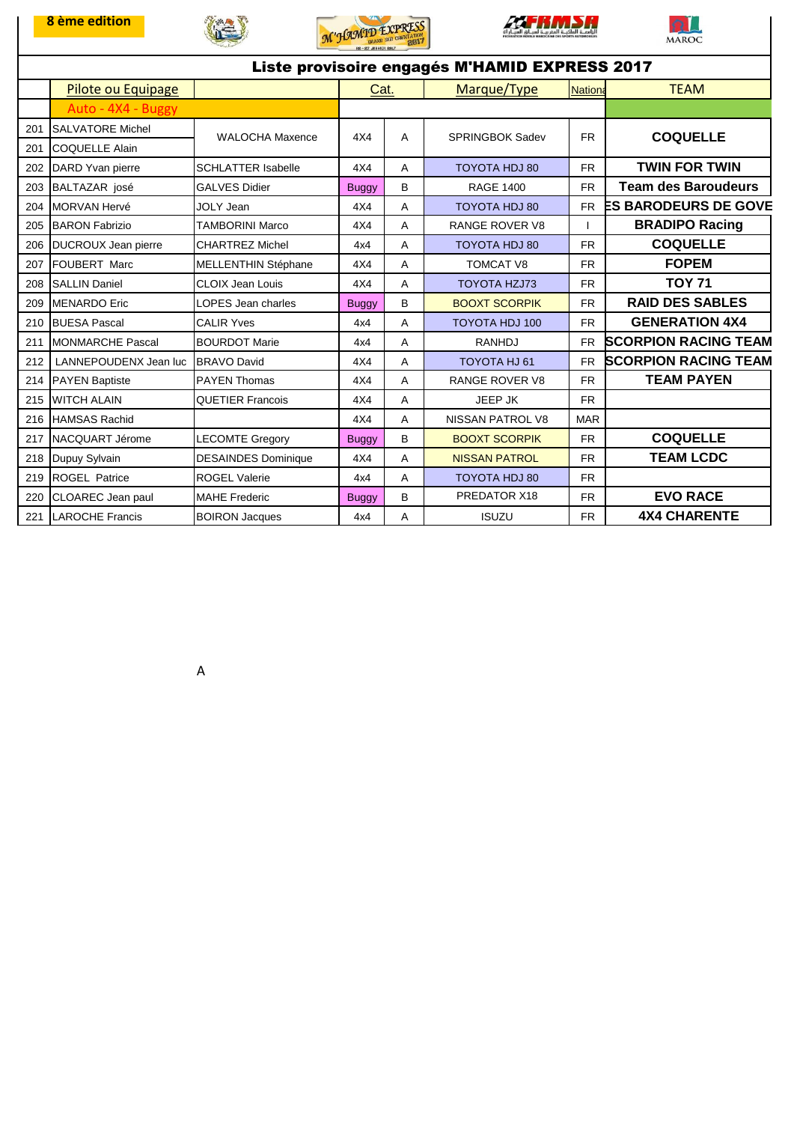









| Liste provisoire engagés M'HAMID EXPRESS 2017 |                          |                            |              |   |                         |                |                             |  |  |  |
|-----------------------------------------------|--------------------------|----------------------------|--------------|---|-------------------------|----------------|-----------------------------|--|--|--|
|                                               | Pilote ou Equipage       |                            | Cat.         |   | Marque/Type             | <b>Nationa</b> | <b>TEAM</b>                 |  |  |  |
|                                               | Auto - 4X4 - Buggy       |                            |              |   |                         |                |                             |  |  |  |
| 201                                           | <b>SALVATORE Michel</b>  | <b>WALOCHA Maxence</b>     | 4X4          | A | <b>SPRINGBOK Sadev</b>  | <b>FR</b>      | <b>COQUELLE</b>             |  |  |  |
| 201                                           | <b>ICOQUELLE Alain</b>   |                            |              |   |                         |                |                             |  |  |  |
| 202                                           | DARD Yvan pierre         | <b>SCHLATTER Isabelle</b>  | 4X4          | A | TOYOTA HDJ 80           | <b>FR</b>      | <b>TWIN FOR TWIN</b>        |  |  |  |
| 203                                           | BALTAZAR josé            | <b>GALVES Didier</b>       | <b>Buggy</b> | B | <b>RAGE 1400</b>        | <b>FR</b>      | <b>Team des Baroudeurs</b>  |  |  |  |
| 204                                           | <b>MORVAN Hervé</b>      | <b>JOLY Jean</b>           | 4X4          | A | TOYOTA HDJ 80           | FR.            | <b>ES BARODEURS DE GOVE</b> |  |  |  |
| 205                                           | <b>BARON Fabrizio</b>    | <b>TAMBORINI Marco</b>     | 4X4          | A | <b>RANGE ROVER V8</b>   |                | <b>BRADIPO Racing</b>       |  |  |  |
| 206                                           | DUCROUX Jean pierre      | <b>CHARTREZ Michel</b>     | 4x4          | A | <b>TOYOTA HDJ 80</b>    | <b>FR</b>      | <b>COQUELLE</b>             |  |  |  |
| 207                                           | <b>FOUBERT Marc</b>      | <b>MELLENTHIN Stéphane</b> | 4X4          | A | <b>TOMCAT V8</b>        | <b>FR</b>      | <b>FOPEM</b>                |  |  |  |
| 208                                           | <b>SALLIN Daniel</b>     | <b>CLOIX Jean Louis</b>    | 4X4          | A | <b>TOYOTA HZJ73</b>     | <b>FR</b>      | <b>TOY 71</b>               |  |  |  |
| 209                                           | <b>MENARDO</b> Eric      | LOPES Jean charles         | <b>Buggy</b> | B | <b>BOOXT SCORPIK</b>    | <b>FR</b>      | <b>RAID DES SABLES</b>      |  |  |  |
| 210                                           | <b>BUESA Pascal</b>      | <b>CALIR Yves</b>          | 4x4          | A | <b>TOYOTA HDJ 100</b>   | <b>FR</b>      | <b>GENERATION 4X4</b>       |  |  |  |
| 211                                           | <b>IMONMARCHE Pascal</b> | <b>BOURDOT Marie</b>       | 4x4          | A | <b>RANHDJ</b>           | <b>FR</b>      | <b>SCORPION RACING TEAM</b> |  |  |  |
| 212                                           | LANNEPOUDENX Jean luc    | BRAVO David                | 4X4          | A | TOYOTA HJ 61            | <b>FR</b>      | <b>SCORPION RACING TEAM</b> |  |  |  |
| 214                                           | <b>PAYEN Baptiste</b>    | <b>PAYEN Thomas</b>        | 4X4          | A | <b>RANGE ROVER V8</b>   | <b>FR</b>      | <b>TEAM PAYEN</b>           |  |  |  |
| 215                                           | <b>WITCH ALAIN</b>       | <b>QUETIER Francois</b>    | 4X4          | A | JEEP JK                 | <b>FR</b>      |                             |  |  |  |
| 216                                           | <b>HAMSAS Rachid</b>     |                            | 4X4          | A | <b>NISSAN PATROL V8</b> | <b>MAR</b>     |                             |  |  |  |
| 217                                           | NACQUART Jérome          | <b>LECOMTE Gregory</b>     | <b>Buggy</b> | B | <b>BOOXT SCORPIK</b>    | <b>FR</b>      | <b>COQUELLE</b>             |  |  |  |
| 218                                           | Dupuy Sylvain            | <b>DESAINDES Dominique</b> | 4X4          | A | <b>NISSAN PATROL</b>    | <b>FR</b>      | <b>TEAM LCDC</b>            |  |  |  |
| 219                                           | <b>ROGEL Patrice</b>     | <b>ROGEL Valerie</b>       | 4x4          | A | <b>TOYOTA HDJ 80</b>    | <b>FR</b>      |                             |  |  |  |
| 220                                           | <b>CLOAREC</b> Jean paul | <b>MAHE Frederic</b>       | <b>Buggy</b> | B | PREDATOR X18            | <b>FR</b>      | <b>EVO RACE</b>             |  |  |  |
| 221                                           | <b>LAROCHE Francis</b>   | <b>BOIRON Jacques</b>      | 4x4          | A | <b>ISUZU</b>            | <b>FR</b>      | <b>4X4 CHARENTE</b>         |  |  |  |